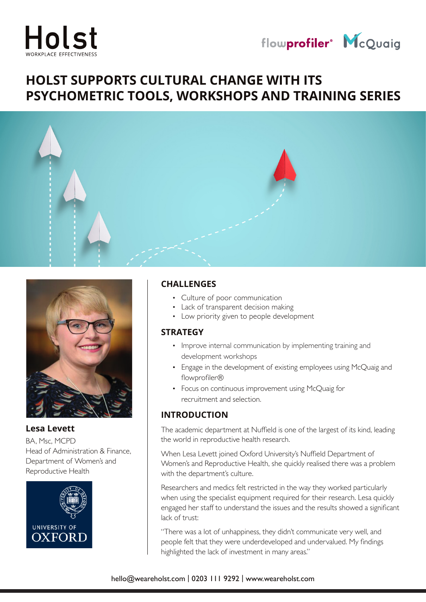



# **HOLST SUPPORTS CULTURAL CHANGE WITH ITS PSYCHOMETRIC TOOLS, WORKSHOPS AND TRAINING SERIES**





**Lesa Levett**

BA, Msc, MCPD Head of Administration & Finance, Department of Women's and Reproductive Health



#### **CHALLENGES**

- Culture of poor communication
- Lack of transparent decision making
- Low priority given to people development

#### **STRATEGY**

- Improve internal communication by implementing training and development workshops
- Engage in the development of existing employees using McQuaig and flowprofiler®
- Focus on continuous improvement using McQuaig for recruitment and selection.

## **INTRODUCTION**

The academic department at Nuffield is one of the largest of its kind, leading the world in reproductive health research.

When Lesa Levett joined Oxford University's Nuffield Department of Women's and Reproductive Health, she quickly realised there was a problem with the department's culture.

Researchers and medics felt restricted in the way they worked particularly when using the specialist equipment required for their research. Lesa quickly engaged her staff to understand the issues and the results showed a significant lack of trust:

"There was a lot of unhappiness, they didn't communicate very well, and people felt that they were underdeveloped and undervalued. My findings highlighted the lack of investment in many areas."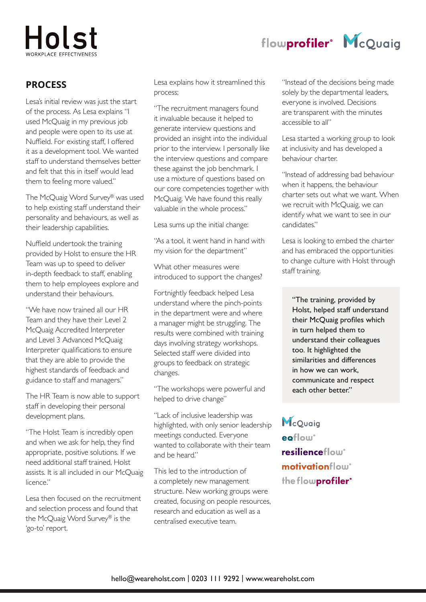# Holst

# **PROCESS**

Lesa's initial review was just the start of the process. As Lesa explains "I used McQuaig in my previous job and people were open to its use at Nuffield. For existing staff, I offered it as a development tool. We wanted staff to understand themselves better and felt that this in itself would lead them to feeling more valued."

The McQuaig Word Survey® was used to help existing staff understand their personality and behaviours, as well as their leadership capabilities.

Nuffield undertook the training provided by Holst to ensure the HR Team was up to speed to deliver in-depth feedback to staff, enabling them to help employees explore and understand their behaviours.

"We have now trained all our HR Team and they have their Level 2 McQuaig Accredited Interpreter and Level 3 Advanced McQuaig Interpreter qualifications to ensure that they are able to provide the highest standards of feedback and guidance to staff and managers."

The HR Team is now able to support staff in developing their personal development plans.

"The Holst Team is incredibly open and when we ask for help, they find appropriate, positive solutions. If we need additional staff trained, Holst assists. It is all included in our McQuaig licence."

Lesa then focused on the recruitment and selection process and found that the McQuaig Word Survey® is the 'go-to' report.

Lesa explains how it streamlined this process;

"The recruitment managers found it invaluable because it helped to generate interview questions and provided an insight into the individual prior to the interview. I personally like the interview questions and compare these against the job benchmark. I use a mixture of questions based on our core competencies together with McQuaig. We have found this really valuable in the whole process."

Lesa sums up the initial change:

"As a tool, it went hand in hand with my vision for the department"

What other measures were introduced to support the changes?

Fortnightly feedback helped Lesa understand where the pinch-points in the department were and where a manager might be struggling. The results were combined with training days involving strategy workshops. Selected staff were divided into groups to feedback on strategic changes.

"The workshops were powerful and helped to drive change"

"Lack of inclusive leadership was highlighted, with only senior leadership meetings conducted. Everyone wanted to collaborate with their team and be heard."

This led to the introduction of a completely new management structure. New working groups were created, focusing on people resources, research and education as well as a centralised executive team.

"Instead of the decisions being made solely by the departmental leaders, everyone is involved. Decisions are transparent with the minutes accessible to all"

flowprofiler<sup>®</sup> McQuaig

Lesa started a working group to look at inclusivity and has developed a behaviour charter.

"Instead of addressing bad behaviour when it happens, the behaviour charter sets out what we want. When we recruit with McQuaig, we can identify what we want to see in our candidates."

Lesa is looking to embed the charter and has embraced the opportunities to change culture with Holst through staff training.

"The training, provided by Holst, helped staff understand their McQuaig profiles which in turn helped them to understand their colleagues too. It highlighted the similarities and differences in how we can work, communicate and respect each other better."

McQuaia eoflow resilienceflow motivationflow® the flowprofiler<sup>®</sup>